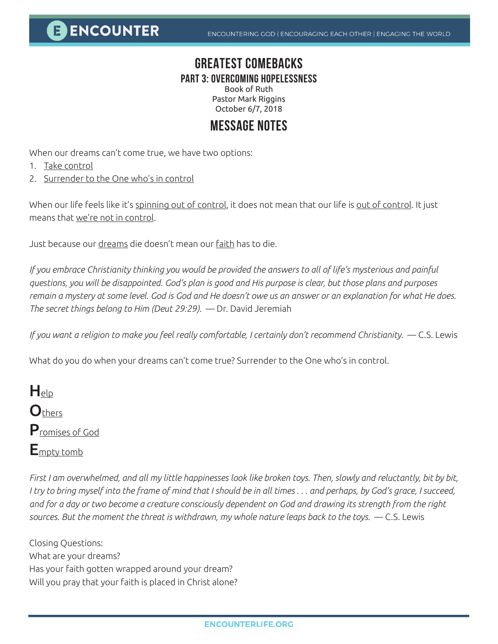**E ENCOUNTER** 

## **GREATEST COMEBACKS**

**PART 3: OVERCOMING HOPELESSNESS**

Book of Ruth Pastor Mark Riggins October 6/7, 2018

## **MESSAGE NOTES**

When our dreams can't come true, we have two options:

- 1. Take control
- 2. Surrender to the One who's in control

When our life feels like it's spinning out of control, it does not mean that our life is out of control. It just means that we're not in control.

Just because our dreams die doesn't mean our faith has to die.

*If you embrace Christianity thinking you would be provided the answers to all of life's mysterious and painful questions, you will be disappointed. God's plan is good and His purpose is clear, but those plans and purposes remain a mystery at some level. God is God and He doesn't owe us an answer or an explanation for what He does. The secret things belong to Him (Deut 29:29).* — Dr. David Jeremiah

*If you want a religion to make you feel really comfortable, I certainly don't recommend Christianity.* — C.S. Lewis

What do you do when your dreams can't come true? Surrender to the One who's in control.

 $H_{\text{elp}}$ **O**thers Promises of God  $E_{\text{motv}}$  tomb

*First I am overwhelmed, and all my little happinesses look like broken toys. Then, slowly and reluctantly, bit by bit, I try to bring myself into the frame of mind that I should be in all times . . . and perhaps, by God's grace, I succeed, and for a day or two become a creature consciously dependent on God and drawing its strength from the right sources. But the moment the threat is withdrawn, my whole nature leaps back to the toys.* — C.S. Lewis

Closing Questions: What are your dreams? Has your faith gotten wrapped around your dream? Will you pray that your faith is placed in Christ alone?